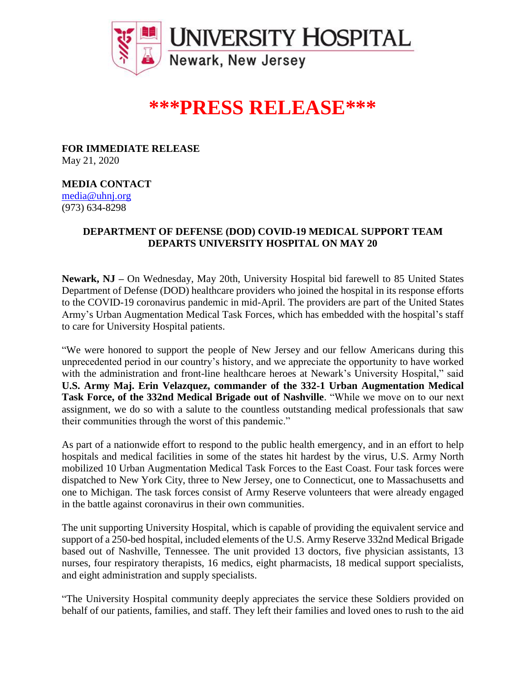

## **\*\*\*PRESS RELEASE\*\*\***

**FOR IMMEDIATE RELEASE** May 21, 2020

**MEDIA CONTACT**

[media@uhnj.org](mailto:media@uhnj.org) (973) 634-8298

## **DEPARTMENT OF DEFENSE (DOD) COVID-19 MEDICAL SUPPORT TEAM DEPARTS UNIVERSITY HOSPITAL ON MAY 20**

**Newark, NJ –** On Wednesday, May 20th, University Hospital bid farewell to 85 United States Department of Defense (DOD) healthcare providers who joined the hospital in its response efforts to the COVID-19 coronavirus pandemic in mid-April. The providers are part of the United States Army's Urban Augmentation Medical Task Forces, which has embedded with the hospital's staff to care for University Hospital patients.

"We were honored to support the people of New Jersey and our fellow Americans during this unprecedented period in our country's history, and we appreciate the opportunity to have worked with the administration and front-line healthcare heroes at Newark's University Hospital," said **U.S. Army Maj. Erin Velazquez, commander of the 332-1 Urban Augmentation Medical Task Force, of the 332nd Medical Brigade out of Nashville**. "While we move on to our next assignment, we do so with a salute to the countless outstanding medical professionals that saw their communities through the worst of this pandemic."

As part of a nationwide effort to respond to the public health emergency, and in an effort to help hospitals and medical facilities in some of the states hit hardest by the virus, U.S. Army North mobilized 10 Urban Augmentation Medical Task Forces to the East Coast. Four task forces were dispatched to New York City, three to New Jersey, one to Connecticut, one to Massachusetts and one to Michigan. The task forces consist of Army Reserve volunteers that were already engaged in the battle against coronavirus in their own communities.

The unit supporting University Hospital, which is capable of providing the equivalent service and support of a 250-bed hospital, included elements of the U.S. Army Reserve 332nd Medical Brigade based out of Nashville, Tennessee. The unit provided 13 doctors, five physician assistants, 13 nurses, four respiratory therapists, 16 medics, eight pharmacists, 18 medical support specialists, and eight administration and supply specialists.

"The University Hospital community deeply appreciates the service these Soldiers provided on behalf of our patients, families, and staff. They left their families and loved ones to rush to the aid